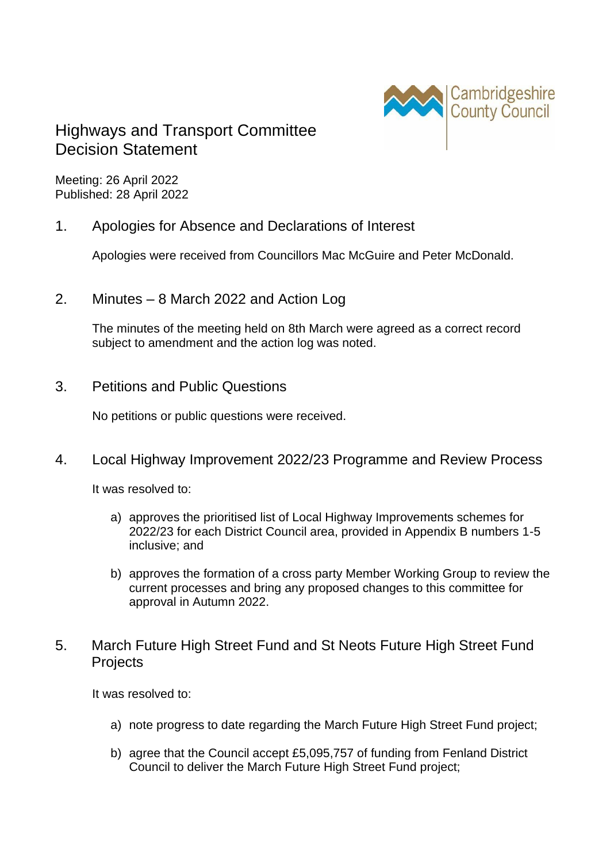

# Highways and Transport Committee Decision Statement

Meeting: 26 April 2022 Published: 28 April 2022

### 1. Apologies for Absence and Declarations of Interest

Apologies were received from Councillors Mac McGuire and Peter McDonald.

2. Minutes – 8 March 2022 and Action Log

The minutes of the meeting held on 8th March were agreed as a correct record subject to amendment and the action log was noted.

3. Petitions and Public Questions

No petitions or public questions were received.

## 4. Local Highway Improvement 2022/23 Programme and Review Process

It was resolved to:

- a) approves the prioritised list of Local Highway Improvements schemes for 2022/23 for each District Council area, provided in Appendix B numbers 1-5 inclusive; and
- b) approves the formation of a cross party Member Working Group to review the current processes and bring any proposed changes to this committee for approval in Autumn 2022.

### 5. March Future High Street Fund and St Neots Future High Street Fund **Projects**

It was resolved to:

- a) note progress to date regarding the March Future High Street Fund project;
- b) agree that the Council accept £5,095,757 of funding from Fenland District Council to deliver the March Future High Street Fund project;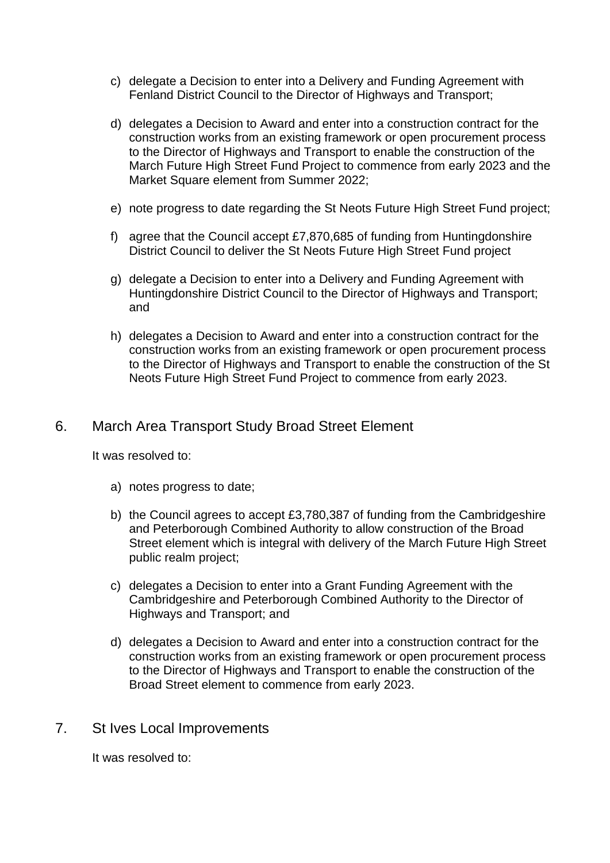- c) delegate a Decision to enter into a Delivery and Funding Agreement with Fenland District Council to the Director of Highways and Transport;
- d) delegates a Decision to Award and enter into a construction contract for the construction works from an existing framework or open procurement process to the Director of Highways and Transport to enable the construction of the March Future High Street Fund Project to commence from early 2023 and the Market Square element from Summer 2022;
- e) note progress to date regarding the St Neots Future High Street Fund project;
- f) agree that the Council accept £7,870,685 of funding from Huntingdonshire District Council to deliver the St Neots Future High Street Fund project
- g) delegate a Decision to enter into a Delivery and Funding Agreement with Huntingdonshire District Council to the Director of Highways and Transport; and
- h) delegates a Decision to Award and enter into a construction contract for the construction works from an existing framework or open procurement process to the Director of Highways and Transport to enable the construction of the St Neots Future High Street Fund Project to commence from early 2023.

### 6. March Area Transport Study Broad Street Element

It was resolved to:

- a) notes progress to date;
- b) the Council agrees to accept £3,780,387 of funding from the Cambridgeshire and Peterborough Combined Authority to allow construction of the Broad Street element which is integral with delivery of the March Future High Street public realm project;
- c) delegates a Decision to enter into a Grant Funding Agreement with the Cambridgeshire and Peterborough Combined Authority to the Director of Highways and Transport; and
- d) delegates a Decision to Award and enter into a construction contract for the construction works from an existing framework or open procurement process to the Director of Highways and Transport to enable the construction of the Broad Street element to commence from early 2023.

#### 7. St Ives Local Improvements

It was resolved to: